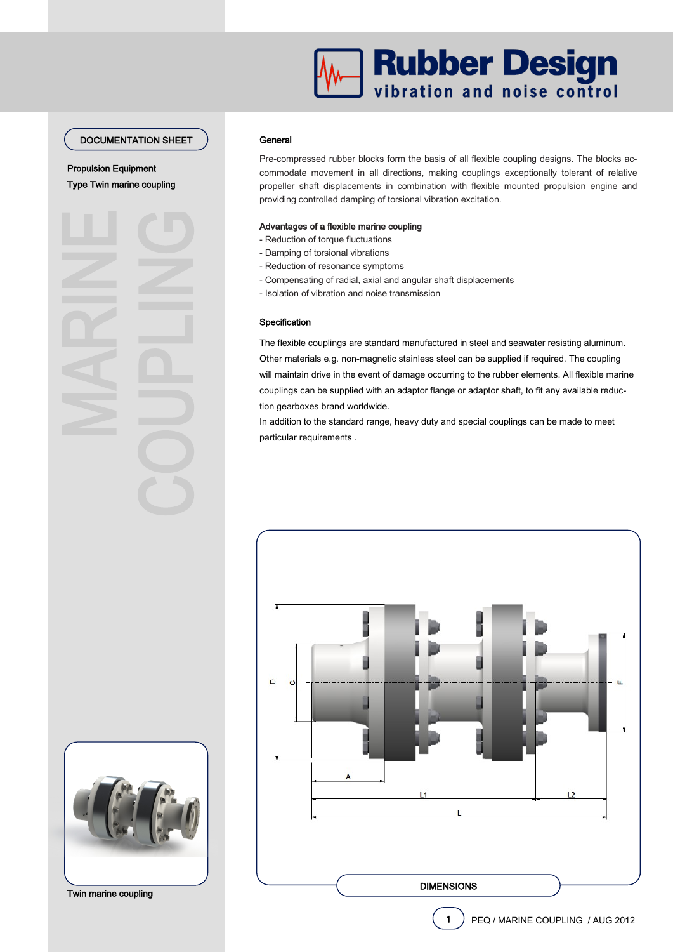## DOCUMENTATION SHEET

Type Twin marine coupling Propulsion Equipment



#### **General**

Pre-compressed rubber blocks form the basis of all flexible coupling designs. The blocks accommodate movement in all directions, making couplings exceptionally tolerant of relative propeller shaft displacements in combination with flexible mounted propulsion engine and providing controlled damping of torsional vibration excitation.

#### Advantages of a flexible marine coupling

- Reduction of torque fluctuations
- Damping of torsional vibrations
- Reduction of resonance symptoms
- Compensating of radial, axial and angular shaft displacements
- Isolation of vibration and noise transmission

## Specification

The flexible couplings are standard manufactured in steel and seawater resisting aluminum. Other materials e.g. non-magnetic stainless steel can be supplied if required. The coupling will maintain drive in the event of damage occurring to the rubber elements. All flexible marine couplings can be supplied with an adaptor flange or adaptor shaft, to fit any available reduction gearboxes brand worldwide.

In addition to the standard range, heavy duty and special couplings can be made to meet particular requirements .





Twin marine coupling